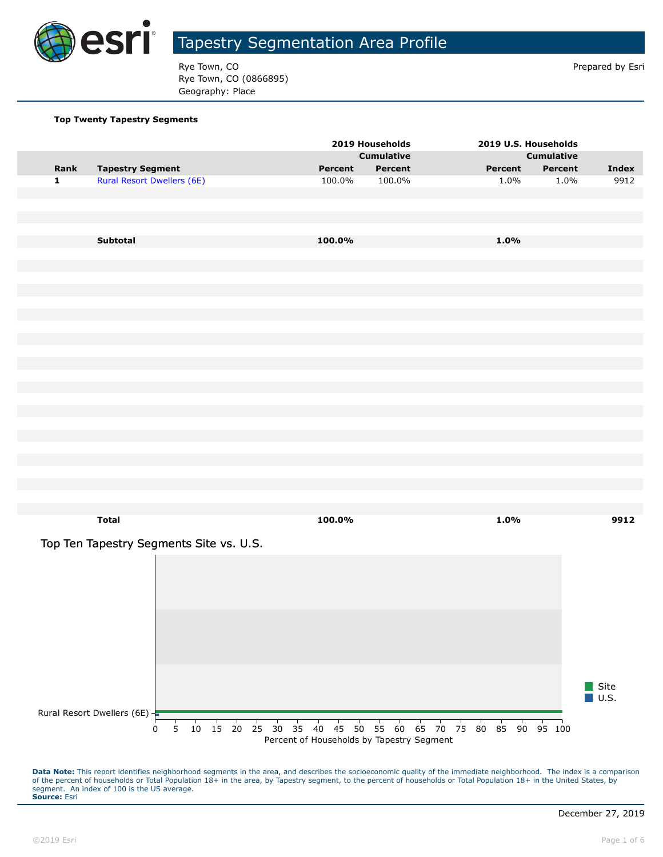

Rye Town, CO **Prepared by Esri** Prepared by Esri Rye Town, CO (0866895) Geography: Place

#### **Top Twenty Tapestry Segments**

| <b>Cumulative</b><br><b>Cumulative</b><br>Rank<br><b>Tapestry Segment</b><br>Percent<br>Percent<br>Percent<br><b>Index</b><br>Percent<br>$\mathbf{1}$<br><b>Rural Resort Dwellers (6E)</b><br>9912<br>100.0%<br>100.0%<br>1.0%<br>1.0%<br>Subtotal<br>100.0%<br>1.0% |
|----------------------------------------------------------------------------------------------------------------------------------------------------------------------------------------------------------------------------------------------------------------------|
|                                                                                                                                                                                                                                                                      |
|                                                                                                                                                                                                                                                                      |
|                                                                                                                                                                                                                                                                      |
|                                                                                                                                                                                                                                                                      |
|                                                                                                                                                                                                                                                                      |
|                                                                                                                                                                                                                                                                      |
|                                                                                                                                                                                                                                                                      |
|                                                                                                                                                                                                                                                                      |
|                                                                                                                                                                                                                                                                      |
|                                                                                                                                                                                                                                                                      |
|                                                                                                                                                                                                                                                                      |
|                                                                                                                                                                                                                                                                      |
|                                                                                                                                                                                                                                                                      |
|                                                                                                                                                                                                                                                                      |
|                                                                                                                                                                                                                                                                      |
|                                                                                                                                                                                                                                                                      |
|                                                                                                                                                                                                                                                                      |
|                                                                                                                                                                                                                                                                      |
|                                                                                                                                                                                                                                                                      |
|                                                                                                                                                                                                                                                                      |
|                                                                                                                                                                                                                                                                      |
|                                                                                                                                                                                                                                                                      |
|                                                                                                                                                                                                                                                                      |
|                                                                                                                                                                                                                                                                      |
|                                                                                                                                                                                                                                                                      |
|                                                                                                                                                                                                                                                                      |
|                                                                                                                                                                                                                                                                      |
|                                                                                                                                                                                                                                                                      |
| <b>Total</b><br>100.0%<br>1.0%<br>9912                                                                                                                                                                                                                               |
|                                                                                                                                                                                                                                                                      |
| Top Ten Tapestry Segments Site vs. U.S.                                                                                                                                                                                                                              |
|                                                                                                                                                                                                                                                                      |
|                                                                                                                                                                                                                                                                      |
|                                                                                                                                                                                                                                                                      |
|                                                                                                                                                                                                                                                                      |
|                                                                                                                                                                                                                                                                      |
|                                                                                                                                                                                                                                                                      |
|                                                                                                                                                                                                                                                                      |
|                                                                                                                                                                                                                                                                      |
|                                                                                                                                                                                                                                                                      |
|                                                                                                                                                                                                                                                                      |
| Site                                                                                                                                                                                                                                                                 |
| $\blacksquare$ U.S.                                                                                                                                                                                                                                                  |
| Rural Resort Dwellers (6E) -                                                                                                                                                                                                                                         |
| 5 10 15 20 25 30 35 40 45 50 55 60 65 70 75 80 85 90 95 100<br>0                                                                                                                                                                                                     |
| Percent of Households by Tapestry Segment                                                                                                                                                                                                                            |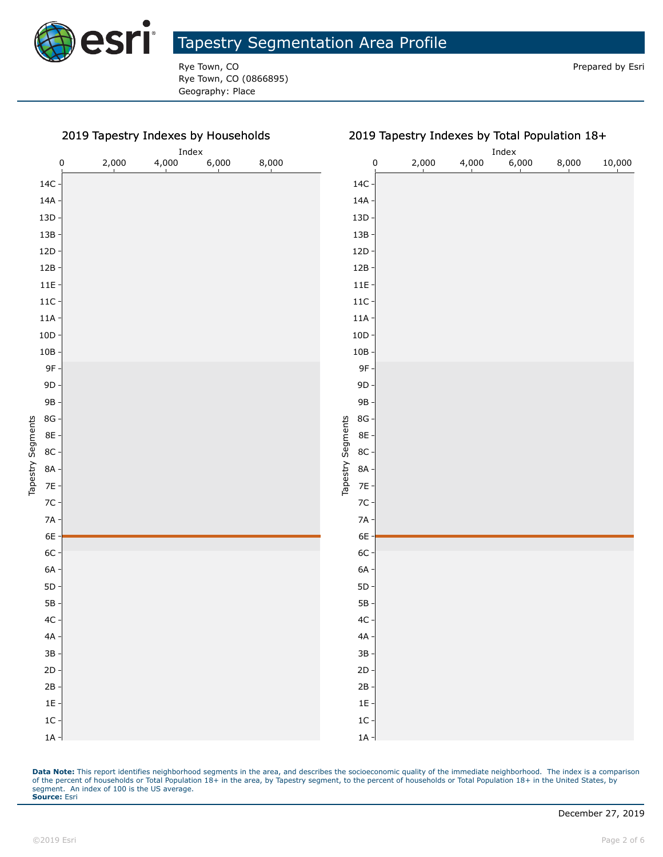

Rye Town, CO **Prepared by Esri** Prepared by Esri Rye Town, CO (0866895) Geography: Place

#### 2019 Tapestry Indexes by Households

| 2019 Tapestry Indexes by Households |       |       | 2019 Tapestry Indexes by Total Population 18+ |       |                             |                |       |       |       |        |
|-------------------------------------|-------|-------|-----------------------------------------------|-------|-----------------------------|----------------|-------|-------|-------|--------|
| Index                               |       |       |                                               |       |                             | $_{\rm Index}$ |       |       |       |        |
| 0                                   | 2,000 | 4,000 | 6,000                                         | 8,000 | $\pmb{0}$                   | 2,000          | 4,000 | 6,000 | 8,000 | 10,000 |
|                                     |       |       |                                               |       | $14C -$                     |                |       |       |       |        |
|                                     |       |       |                                               |       | $14A -$                     |                |       |       |       |        |
|                                     |       |       |                                               |       | $13D +$                     |                |       |       |       |        |
|                                     |       |       |                                               |       | $13B -$                     |                |       |       |       |        |
|                                     |       |       |                                               |       | $12D \cdot$                 |                |       |       |       |        |
|                                     |       |       |                                               |       | $12B -$                     |                |       |       |       |        |
|                                     |       |       |                                               |       | $11E -$                     |                |       |       |       |        |
|                                     |       |       |                                               |       | $11C -$                     |                |       |       |       |        |
|                                     |       |       |                                               |       | $11A -$                     |                |       |       |       |        |
|                                     |       |       |                                               |       | $10D \cdot$                 |                |       |       |       |        |
|                                     |       |       |                                               |       | $10B -$                     |                |       |       |       |        |
|                                     |       |       |                                               |       | 9F-                         |                |       |       |       |        |
|                                     |       |       |                                               |       | $9D -$                      |                |       |       |       |        |
|                                     |       |       |                                               |       | 9B-                         |                |       |       |       |        |
|                                     |       |       |                                               |       | $8G -$                      |                |       |       |       |        |
|                                     |       |       |                                               |       | 8E -                        |                |       |       |       |        |
|                                     |       |       |                                               |       | Tapestry Segments<br>$8C -$ |                |       |       |       |        |
|                                     |       |       |                                               |       | 8A -                        |                |       |       |       |        |
|                                     |       |       |                                               |       | $7E -$                      |                |       |       |       |        |
|                                     |       |       |                                               |       | $7C -$                      |                |       |       |       |        |
|                                     |       |       |                                               |       | $7A -$                      |                |       |       |       |        |
|                                     |       |       |                                               |       | $6E -$                      |                |       |       |       |        |
|                                     |       |       |                                               |       | $6C -$                      |                |       |       |       |        |
|                                     |       |       |                                               |       | $6A -$                      |                |       |       |       |        |
|                                     |       |       |                                               |       | $5D -$                      |                |       |       |       |        |
|                                     |       |       |                                               |       | $5B -$                      |                |       |       |       |        |
|                                     |       |       |                                               |       | $4C -$                      |                |       |       |       |        |
|                                     |       |       |                                               |       | $4A -$                      |                |       |       |       |        |
|                                     |       |       |                                               |       | $3B -$                      |                |       |       |       |        |
|                                     |       |       |                                               |       | $2D -$                      |                |       |       |       |        |
|                                     |       |       |                                               |       | $2B -$                      |                |       |       |       |        |
|                                     |       |       |                                               |       | $1E -$                      |                |       |       |       |        |
|                                     |       |       |                                               |       | $1C -$                      |                |       |       |       |        |
|                                     |       |       |                                               |       | $1A -$                      |                |       |       |       |        |

Data Note: This report identifies neighborhood segments in the area, and describes the socioeconomic quality of the immediate neighborhood. The index is a comparison of the percent of households or Total Population 18+ in the area, by Tapestry segment, to the percent of households or Total Population 18+ in the United States, by segment. An index of 100 is the US average. **Source:** Esri

 $1A -$ 1C 1E  $2B \cdot$ 2D 3B 4A 4C 5B 5D 6A 6C 6E 7A 7C 7E 8A 8C 8E 8G 9B 9D 9F 10B 10D 11A 11C 11E 12B 12D 13B 13D 14A 14C

Tapestry Segments

Tapestry Segments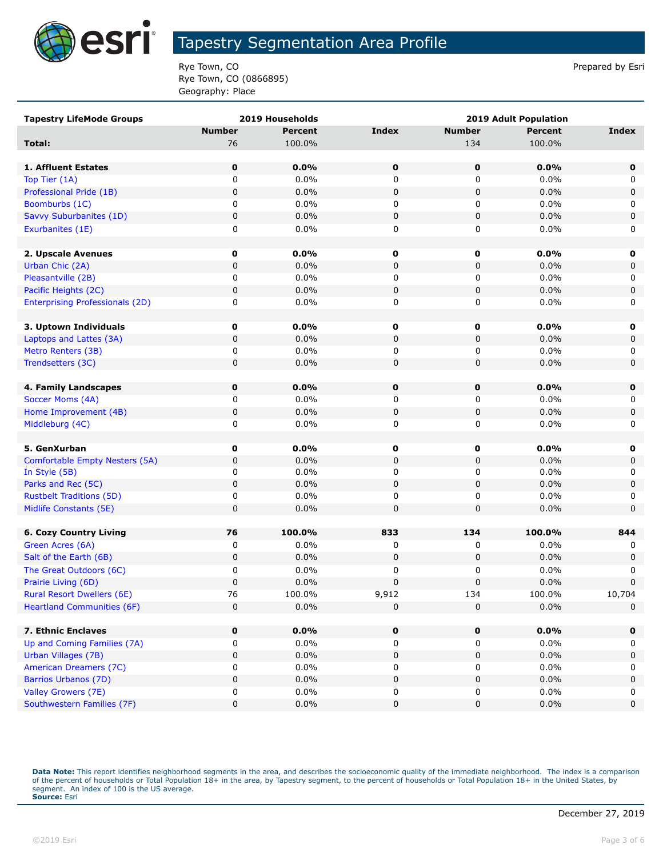

Rye Town, CO **Prepared by Esri** Prepared by Esri Rye Town, CO (0866895) Geography: Place

| <b>Tapestry LifeMode Groups</b>        | 2019 Households |                | <b>2019 Adult Population</b> |               |                |             |
|----------------------------------------|-----------------|----------------|------------------------------|---------------|----------------|-------------|
|                                        | <b>Number</b>   | <b>Percent</b> | <b>Index</b>                 | <b>Number</b> | <b>Percent</b> | Index       |
| Total:                                 | 76              | 100.0%         |                              | 134           | 100.0%         |             |
|                                        |                 |                |                              |               |                |             |
| 1. Affluent Estates                    | 0               | $0.0\%$        | 0                            | $\mathbf 0$   | 0.0%           | $\mathbf 0$ |
| Top Tier (1A)                          | 0               | 0.0%           | 0                            | 0             | 0.0%           | 0           |
| Professional Pride (1B)                | 0               | 0.0%           | $\pmb{0}$                    | 0             | 0.0%           | 0           |
| Boomburbs (1C)                         | 0               | 0.0%           | 0                            | 0             | 0.0%           | 0           |
| Savvy Suburbanites (1D)                | 0               | 0.0%           | $\pmb{0}$                    | 0             | 0.0%           | $\pmb{0}$   |
| Exurbanites (1E)                       | 0               | 0.0%           | 0                            | 0             | 0.0%           | 0           |
|                                        |                 |                |                              |               |                |             |
| 2. Upscale Avenues                     | $\mathbf 0$     | $0.0\%$        | 0                            | 0             | 0.0%           | 0           |
| Urban Chic (2A)                        | 0               | 0.0%           | $\pmb{0}$                    | 0             | 0.0%           | 0           |
| Pleasantville (2B)                     | 0               | 0.0%           | 0                            | 0             | 0.0%           | 0           |
| Pacific Heights (2C)                   | 0               | $0.0\%$        | $\pmb{0}$                    | 0             | 0.0%           | 0           |
| <b>Enterprising Professionals (2D)</b> | 0               | 0.0%           | 0                            | 0             | 0.0%           | 0           |
|                                        |                 |                |                              |               |                |             |
| 3. Uptown Individuals                  | 0               | $0.0\%$        | 0                            | 0             | 0.0%           | 0           |
| Laptops and Lattes (3A)                | 0               | $0.0\%$        | 0                            | 0             | 0.0%           | 0           |
| Metro Renters (3B)                     | 0               | 0.0%           | 0                            | 0             | 0.0%           | 0           |
| Trendsetters (3C)                      | 0               | 0.0%           | 0                            | 0             | 0.0%           | $\mathbf 0$ |
|                                        |                 |                |                              |               |                |             |
| 4. Family Landscapes                   | 0               | 0.0%           | 0                            | $\mathbf 0$   | 0.0%           | $\mathbf 0$ |
| Soccer Moms (4A)                       | 0               | 0.0%           | 0                            | 0             | 0.0%           | 0           |
| Home Improvement (4B)                  | 0               | $0.0\%$        | $\pmb{0}$                    | 0             | 0.0%           | 0           |
| Middleburg (4C)                        | 0               | 0.0%           | 0                            | 0             | 0.0%           | 0           |
|                                        |                 |                |                              |               |                |             |
| 5. GenXurban                           | $\mathbf 0$     | $0.0\%$        | 0                            | $\mathbf 0$   | 0.0%           | 0           |
| Comfortable Empty Nesters (5A)         | 0               | 0.0%           | $\pmb{0}$                    | 0             | 0.0%           | 0           |
| In Style (5B)                          | 0               | 0.0%           | 0                            | 0             | 0.0%           | 0           |
| Parks and Rec (5C)                     | 0               | 0.0%           | $\pmb{0}$                    | 0             | 0.0%           | 0           |
| <b>Rustbelt Traditions (5D)</b>        | 0               | 0.0%           | 0                            | 0             | 0.0%           | 0           |
| Midlife Constants (5E)                 | 0               | 0.0%           | $\pmb{0}$                    | 0             | 0.0%           | $\mathbf 0$ |
| <b>6. Cozy Country Living</b>          | 76              | 100.0%         | 833                          | 134           | 100.0%         | 844         |
| Green Acres (6A)                       | 0               | 0.0%           | 0                            | 0             | 0.0%           | 0           |
| Salt of the Earth (6B)                 | 0               | 0.0%           | 0                            | 0             | 0.0%           | 0           |
| The Great Outdoors (6C)                | 0               | 0.0%           | 0                            | 0             | 0.0%           | 0           |
| Prairie Living (6D)                    | 0               | 0.0%           | $\pmb{0}$                    | 0             | 0.0%           | $\mathbf 0$ |
| <b>Rural Resort Dwellers (6E)</b>      | 76              | 100.0%         | 9,912                        | 134           | 100.0%         | 10,704      |
| <b>Heartland Communities (6F)</b>      | 0               | 0.0%           | 0                            | 0             | 0.0%           | $\mathbf 0$ |
|                                        |                 |                |                              |               |                |             |
| 7. Ethnic Enclaves                     | 0               | 0.0%           | 0                            | 0             | 0.0%           | 0           |
| Up and Coming Families (7A)            | 0               | 0.0%           | 0                            | 0             | 0.0%           | 0           |
| Urban Villages (7B)                    | 0               | 0.0%           | 0                            | 0             | 0.0%           | 0           |
| American Dreamers (7C)                 | 0               | 0.0%           | 0                            | 0             | 0.0%           | 0           |
| Barrios Urbanos (7D)                   | 0               | 0.0%           | 0                            | 0             | 0.0%           | 0           |
| Valley Growers (7E)                    | 0               | 0.0%           | 0                            | 0             | 0.0%           | 0           |
| Southwestern Families (7F)             | 0               | $0.0\%$        | $\pmb{0}$                    | 0             | 0.0%           | $\pmb{0}$   |
|                                        |                 |                |                              |               |                |             |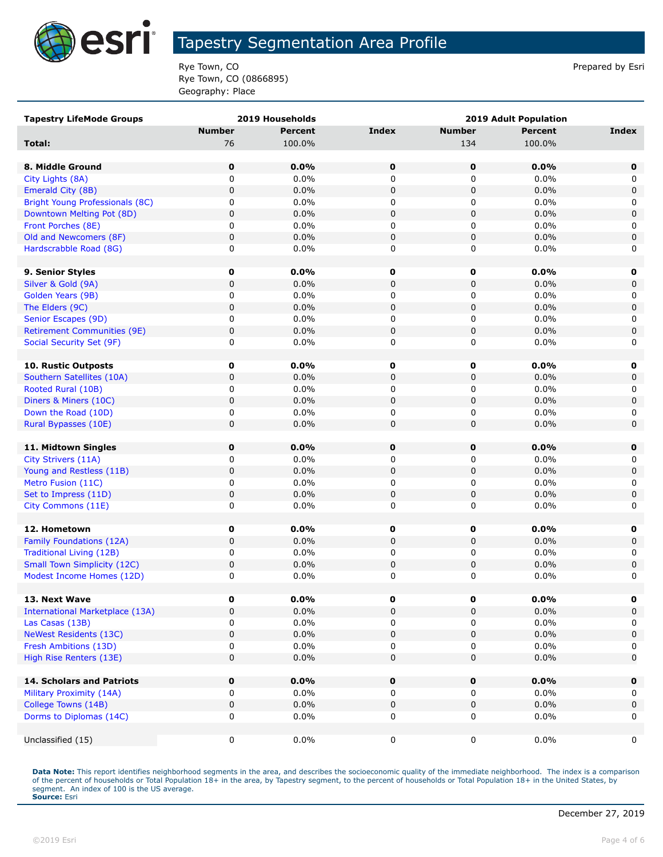

Rye Town, CO **Prepared by Esri** Prepared by Esri Rye Town, CO (0866895) Geography: Place

| <b>Tapestry LifeMode Groups</b>        |               | 2019 Households |              | <b>2019 Adult Population</b> |                |              |
|----------------------------------------|---------------|-----------------|--------------|------------------------------|----------------|--------------|
|                                        | <b>Number</b> | <b>Percent</b>  | <b>Index</b> | <b>Number</b>                | <b>Percent</b> | <b>Index</b> |
| Total:                                 | 76            | 100.0%          |              | 134                          | 100.0%         |              |
|                                        |               |                 |              |                              |                |              |
| 8. Middle Ground                       | 0             | 0.0%            | 0            | 0                            | 0.0%           | 0            |
| City Lights (8A)                       | 0             | 0.0%            | 0            | 0                            | 0.0%           | 0            |
| Emerald City (8B)                      | 0             | 0.0%            | $\mathbf 0$  | $\pmb{0}$                    | 0.0%           | $\mathbf 0$  |
| Bright Young Professionals (8C)        | 0             | $0.0\%$         | 0            | 0                            | $0.0\%$        | 0            |
| Downtown Melting Pot (8D)              | 0             | 0.0%            | 0            | 0                            | 0.0%           | $\mathsf 0$  |
| Front Porches (8E)                     | 0             | 0.0%            | 0            | 0                            | $0.0\%$        | 0            |
| Old and Newcomers (8F)                 | 0             | 0.0%            | 0            | $\pmb{0}$                    | 0.0%           | $\mathbf 0$  |
| Hardscrabble Road (8G)                 | 0             | 0.0%            | 0            | 0                            | 0.0%           | 0            |
|                                        |               |                 |              |                              |                |              |
| 9. Senior Styles                       | 0             | $0.0\%$         | 0            | 0                            | $0.0\%$        | 0            |
| Silver & Gold (9A)                     | 0             | 0.0%            | $\mathbf 0$  | $\pmb{0}$                    | 0.0%           | 0            |
| Golden Years (9B)                      | 0             | 0.0%            | 0            | 0                            | 0.0%           | 0            |
| The Elders (9C)                        | 0             | 0.0%            | $\pmb{0}$    | $\pmb{0}$                    | 0.0%           | $\mathsf 0$  |
| Senior Escapes (9D)                    | 0             | $0.0\%$         | 0            | 0                            | $0.0\%$        | 0            |
| <b>Retirement Communities (9E)</b>     | 0             | 0.0%            | $\pmb{0}$    | $\pmb{0}$                    | 0.0%           | $\mathsf 0$  |
| Social Security Set (9F)               | 0             | $0.0\%$         | 0            | 0                            | 0.0%           | 0            |
|                                        |               |                 |              |                              |                |              |
| 10. Rustic Outposts                    | 0             | $0.0\%$         | 0            | 0                            | $0.0\%$        | 0            |
| Southern Satellites (10A)              | 0             | 0.0%            | 0            | 0                            | $0.0\%$        | 0            |
| Rooted Rural (10B)                     | 0             | $0.0\%$         | 0            | 0                            | $0.0\%$        | 0            |
| Diners & Miners (10C)                  | $\mathbf 0$   | 0.0%            | $\mathbf 0$  | $\pmb{0}$                    | 0.0%           | 0            |
| Down the Road (10D)                    | 0             | 0.0%            | 0            | 0                            | 0.0%           | 0            |
| Rural Bypasses (10E)                   | 0             | 0.0%            | $\mathbf 0$  | $\pmb{0}$                    | 0.0%           | $\mathbf 0$  |
|                                        |               |                 |              |                              |                |              |
| 11. Midtown Singles                    | $\mathbf 0$   | 0.0%            | 0            | $\mathbf 0$                  | 0.0%           | 0            |
| City Strivers (11A)                    | 0             | 0.0%            | 0            | 0                            | 0.0%           | 0            |
| Young and Restless (11B)               | 0             | 0.0%            | $\pmb{0}$    | $\pmb{0}$                    | 0.0%           | $\mathbf 0$  |
| Metro Fusion (11C)                     | 0             | 0.0%            | 0            | 0                            | 0.0%           | 0            |
| Set to Impress (11D)                   | 0             | $0.0\%$         | 0            | $\pmb{0}$                    | $0.0\%$        | 0            |
| City Commons (11E)                     | 0             | 0.0%            | 0            | 0                            | $0.0\%$        | 0            |
|                                        |               |                 |              |                              |                |              |
| 12. Hometown                           | 0             | 0.0%            | 0            | 0                            | $0.0\%$        | 0            |
| Family Foundations (12A)               | 0             | 0.0%            | $\mathbf 0$  | $\pmb{0}$                    | 0.0%           | $\mathbf 0$  |
| Traditional Living (12B)               | 0             | $0.0\%$         | 0            | 0                            | $0.0\%$        | 0            |
| <b>Small Town Simplicity (12C)</b>     | 0             | 0.0%            | 0            | $\pmb{0}$                    | 0.0%           | 0            |
| Modest Income Homes (12D)              | 0             | 0.0%            | 0            | 0                            | 0.0%           | 0            |
|                                        |               |                 |              |                              |                |              |
| 13. Next Wave                          | 0             | 0.0%            | 0            | 0                            | 0.0%           | 0            |
| <b>International Marketplace (13A)</b> | 0             | 0.0%            | $\mathbf 0$  | $\pmb{0}$                    | 0.0%           | 0            |
| Las Casas (13B)                        | 0             | $0.0\%$         | 0            | 0                            | $0.0\%$        | 0            |
| <b>NeWest Residents (13C)</b>          | 0             | 0.0%            | 0            | 0                            | $0.0\%$        | 0            |
| Fresh Ambitions (13D)                  | 0             | $0.0\%$         | 0            | 0                            | 0.0%           | 0            |
| High Rise Renters (13E)                | 0             | 0.0%            | 0            | $\pmb{0}$                    | 0.0%           | $\mathbf 0$  |
| 14. Scholars and Patriots              | $\mathbf 0$   | 0.0%            | 0            | 0                            | 0.0%           | $\mathbf 0$  |
| Military Proximity (14A)               | 0             | $0.0\%$         | 0            | 0                            | $0.0\%$        | 0            |
| College Towns (14B)                    | 0             | 0.0%            | $\pmb{0}$    | $\pmb{0}$                    | $0.0\%$        | $\mathbf 0$  |
| Dorms to Diplomas (14C)                | 0             | $0.0\%$         | $\mathbf 0$  | 0                            | $0.0\%$        | 0            |
|                                        |               |                 |              |                              |                |              |
| Unclassified (15)                      | 0             | $0.0\%$         | $\mathbf 0$  | 0                            | $0.0\%$        | 0            |
|                                        |               |                 |              |                              |                |              |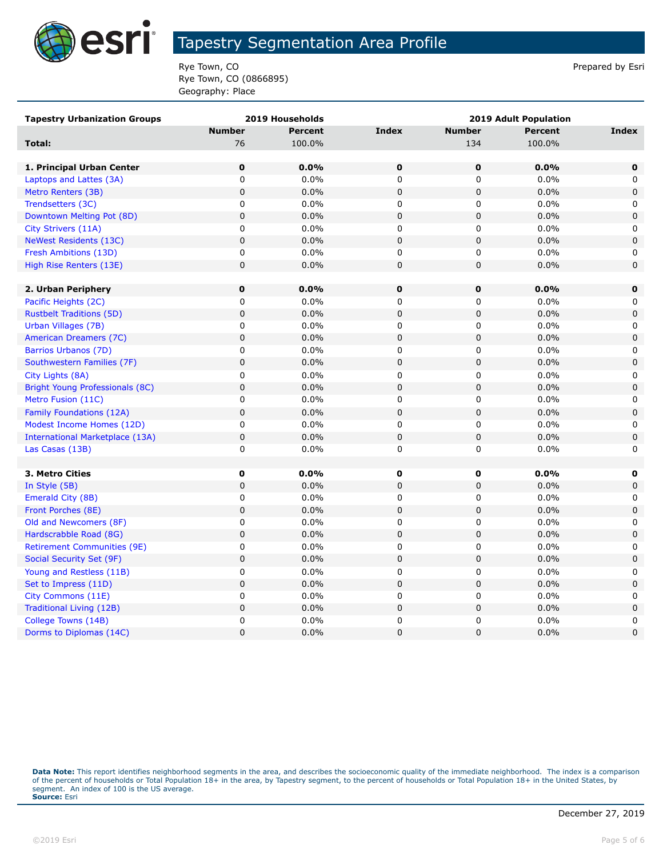

Rye Town, CO **Prepared by Esri** Prepared by Esri Rye Town, CO (0866895) Geography: Place

| <b>Tapestry Urbanization Groups</b>    | 2019 Households |                | <b>2019 Adult Population</b> |               |                |                     |
|----------------------------------------|-----------------|----------------|------------------------------|---------------|----------------|---------------------|
|                                        | <b>Number</b>   | <b>Percent</b> | <b>Index</b>                 | <b>Number</b> | <b>Percent</b> | Index               |
| <b>Total:</b>                          | 76              | 100.0%         |                              | 134           | 100.0%         |                     |
|                                        |                 |                |                              |               |                |                     |
| 1. Principal Urban Center              | $\pmb{0}$       | 0.0%           | $\pmb{0}$                    | 0             | 0.0%           | $\mathbf 0$         |
| Laptops and Lattes (3A)                | 0               | 0.0%           | 0                            | 0             | 0.0%           | 0                   |
| Metro Renters (3B)                     | $\mathbf 0$     | 0.0%           | $\mathbf 0$                  | $\mathbf 0$   | 0.0%           | $\mathbf 0$         |
| Trendsetters (3C)                      | $\mathbf 0$     | 0.0%           | $\mathbf 0$                  | 0             | 0.0%           | $\mathbf 0$         |
| Downtown Melting Pot (8D)              | $\pmb{0}$       | 0.0%           | $\mathbf 0$                  | 0             | 0.0%           | $\mathbf 0$         |
| City Strivers (11A)                    | 0               | 0.0%           | $\mathbf 0$                  | 0             | $0.0\%$        | 0                   |
| <b>NeWest Residents (13C)</b>          | $\mathbf 0$     | 0.0%           | $\pmb{0}$                    | $\mathsf 0$   | 0.0%           | $\mathbf 0$         |
| Fresh Ambitions (13D)                  | 0               | $0.0\%$        | $\mathbf 0$                  | 0             | $0.0\%$        | 0                   |
| High Rise Renters (13E)                | $\mathbf 0$     | 0.0%           | $\pmb{0}$                    | $\mathbf 0$   | 0.0%           | $\mathbf 0$         |
|                                        |                 |                |                              |               |                |                     |
| 2. Urban Periphery                     | $\mathbf 0$     | 0.0%           | $\mathbf 0$                  | 0             | 0.0%           | $\mathbf 0$         |
| Pacific Heights (2C)                   | 0               | 0.0%           | 0                            | 0             | 0.0%           | 0                   |
| <b>Rustbelt Traditions (5D)</b>        | $\pmb{0}$       | 0.0%           | $\mathbf 0$                  | $\mathbf 0$   | 0.0%           | $\mathbf 0$         |
| Urban Villages (7B)                    | $\mathsf 0$     | 0.0%           | $\mathbf 0$                  | 0             | 0.0%           | 0                   |
| American Dreamers (7C)                 | $\mathbf 0$     | 0.0%           | $\mathbf 0$                  | 0             | 0.0%           | $\mathbf 0$         |
| Barrios Urbanos (7D)                   | 0               | 0.0%           | 0                            | 0             | 0.0%           | 0                   |
| Southwestern Families (7F)             | $\mathbf 0$     | 0.0%           | $\pmb{0}$                    | $\mathbf 0$   | 0.0%           | $\mathbf 0$         |
| City Lights (8A)                       | $\pmb{0}$       | 0.0%           | $\mathbf 0$                  | 0             | 0.0%           | 0                   |
| <b>Bright Young Professionals (8C)</b> | $\mathbf 0$     | 0.0%           | $\mathbf 0$                  | $\pmb{0}$     | 0.0%           | $\mathbf 0$         |
| Metro Fusion (11C)                     | 0               | 0.0%           | 0                            | 0             | 0.0%           | 0                   |
| Family Foundations (12A)               | $\mathsf 0$     | 0.0%           | $\pmb{0}$                    | $\mathbf 0$   | 0.0%           | $\mathbf 0$         |
| Modest Income Homes (12D)              | $\mathsf 0$     | 0.0%           | 0                            | 0             | 0.0%           | 0                   |
| <b>International Marketplace (13A)</b> | $\mathbf 0$     | 0.0%           | $\mathbf 0$                  | $\pmb{0}$     | 0.0%           | $\mathbf 0$         |
| Las Casas (13B)                        | 0               | 0.0%           | 0                            | 0             | 0.0%           | 0                   |
|                                        |                 |                |                              |               |                |                     |
| 3. Metro Cities                        | $\pmb{0}$       | 0.0%           | 0                            | 0             | 0.0%           | $\mathbf 0$         |
| In Style (5B)                          | $\mathbf 0$     | 0.0%           | $\mathbf 0$                  | 0             | 0.0%           | $\mathbf 0$         |
| Emerald City (8B)                      | 0               | 0.0%           | $\pmb{0}$                    | $\mathbf 0$   | 0.0%           | 0                   |
| Front Porches (8E)                     | $\mathsf 0$     | 0.0%           | $\pmb{0}$                    | 0             | 0.0%           | $\mathsf{O}\xspace$ |
| Old and Newcomers (8F)                 | $\mathsf 0$     | 0.0%           | $\mathbf 0$                  | 0             | $0.0\%$        | $\mathbf 0$         |
| Hardscrabble Road (8G)                 | $\pmb{0}$       | 0.0%           | $\pmb{0}$                    | $\pmb{0}$     | 0.0%           | $\pmb{0}$           |
| <b>Retirement Communities (9E)</b>     | 0               | 0.0%           | 0                            | 0             | 0.0%           | 0                   |
| Social Security Set (9F)               | $\pmb{0}$       | 0.0%           | $\mathbf 0$                  | $\pmb{0}$     | 0.0%           | $\mathbf 0$         |
| Young and Restless (11B)               | 0               | $0.0\%$        | 0                            | 0             | $0.0\%$        | 0                   |
| Set to Impress (11D)                   | $\pmb{0}$       | 0.0%           | $\pmb{0}$                    | $\mathbf 0$   | 0.0%           | $\mathbf 0$         |
| City Commons (11E)                     | $\pmb{0}$       | 0.0%           | $\pmb{0}$                    | 0             | 0.0%           | 0                   |
| Traditional Living (12B)               | $\mathbf 0$     | 0.0%           | $\mathbf 0$                  | 0             | 0.0%           | $\mathbf 0$         |
| College Towns (14B)                    | $\mathsf 0$     | 0.0%           | $\mathbf 0$                  | 0             | 0.0%           | 0                   |
| Dorms to Diplomas (14C)                | 0               | 0.0%           | $\mathbf{0}$                 | $\mathbf 0$   | 0.0%           | $\mathbf 0$         |